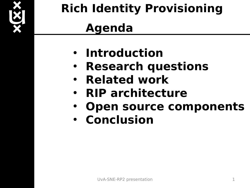

## **Rich Identity Provisioning Agenda**

- **Introduction**
- **Research questions**
- **Related work**
- **RIP architecture**
- **Open source components**
- **Conclusion**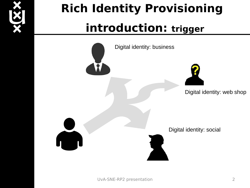

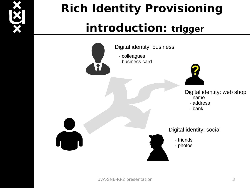

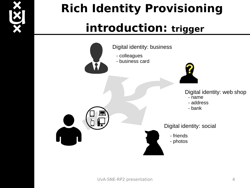

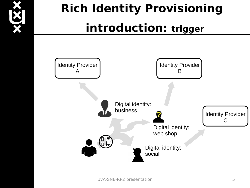

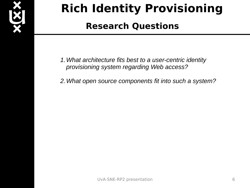

#### **Research Questions**

- *1.What architecture fits best to a user-centric identity provisioning system regarding Web access?*
- *2.What open source components fit into such a system?*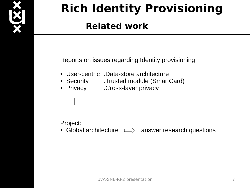

### **Related work**

Reports on issues regarding Identity provisioning

- User-centric :Data-store architecture
- Security :Trusted module (SmartCard)
- Privacy :Cross-layer privacy



Project:

• Global architecture  $\implies$  answer research questions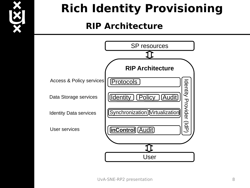

### **RIP Architecture**

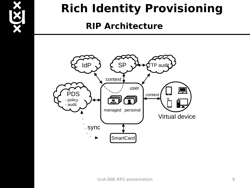

#### **RIP Architecture**

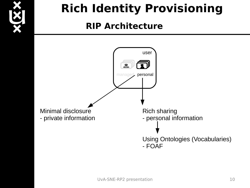

### **RIP Architecture**

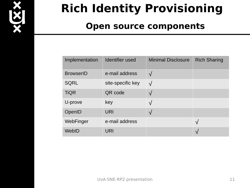

#### **Open source components**

| Implementation   | <b>Identifier used</b> | <b>Minimal Disclosure</b> | <b>Rich Sharing</b> |
|------------------|------------------------|---------------------------|---------------------|
| <b>BrowserID</b> | e-mail address         | $\sqrt{}$                 |                     |
| <b>SQRL</b>      | site-specific key      | $\sqrt{}$                 |                     |
| <b>TiQR</b>      | QR code                | $\sqrt{}$                 |                     |
| U-prove          | key                    | $\sqrt{}$                 |                     |
| OpenID           | <b>URI</b>             | $\sqrt{}$                 |                     |
| WebFinger        | e-mail address         |                           | $\sqrt{}$           |
| WebID            | <b>URI</b>             |                           | V                   |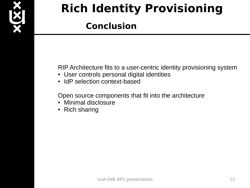

#### **Conclusion**

RIP Architecture fits to a user-centric identity provisioning system

- User controls personal digital identities
- IdP selection context-based

Open source components that fit into the architecture

- Minimal disclosure
- Rich sharing